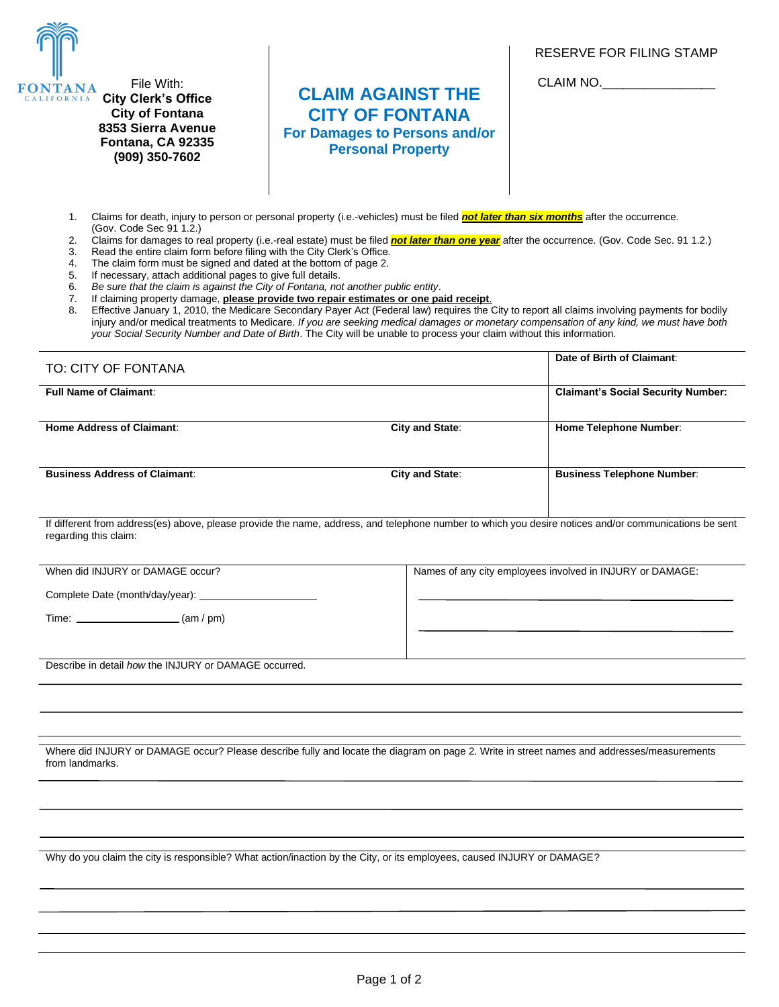RESERVE FOR FILING STAMP



**8353 Sierra Avenue Fontana, CA 92335 (909) 350-7602**

## **CLAIM AGAINST THE CITY OF FONTANA For Damages to Persons and/or Personal Property**

CLAIM NO.

- 1. Claims for death, injury to person or personal property (i.e.-vehicles) must be filed *not later than six months* after the occurrence. (Gov. Code Sec 91 1.2.)
- 2. Claims for damages to real property (i.e.-real estate) must be filed *not later than one year* after the occurrence. (Gov. Code Sec. 91 1.2.)
- 3. Read the entire claim form before filing with the City Clerk's Office.<br>4. The claim form must be signed and dated at the bottom of page 2.
- The claim form must be signed and dated at the bottom of page 2.
- 5. If necessary, attach additional pages to give full details.

6. *Be sure that the claim is against the City of Fontana, not another public entity*.

- 7. If claiming property damage, **please provide two repair estimates or one paid receipt**.
- Effective January 1, 2010, the Medicare Secondary Payer Act (Federal law) requires the City to report all claims involving payments for bodily injury and/or medical treatments to Medicare. *If you are seeking medical damages or monetary compensation of any kind, we must have both your Social Security Number and Date of Birth*. The City will be unable to process your claim without this information.

| TO: CITY OF FONTANA                  |                        | Date of Birth of Claimant:                |
|--------------------------------------|------------------------|-------------------------------------------|
| <b>Full Name of Claimant:</b>        |                        | <b>Claimant's Social Security Number:</b> |
| Home Address of Claimant:            | <b>City and State:</b> | <b>Home Telephone Number:</b>             |
| <b>Business Address of Claimant:</b> | City and State:        | <b>Business Telephone Number:</b>         |

If different from address(es) above, please provide the name, address, and telephone number to which you desire notices and/or communications be sent regarding this claim:

| When did INJURY or DAMAGE occur?                                                                                                                                                                                                           | Names of any city employees involved in INJURY or DAMAGE: |
|--------------------------------------------------------------------------------------------------------------------------------------------------------------------------------------------------------------------------------------------|-----------------------------------------------------------|
| Complete Date (month/day/year):                                                                                                                                                                                                            |                                                           |
| (m / pm)<br>Time: the contract of the contract of the contract of the contract of the contract of the contract of the contract of the contract of the contract of the contract of the contract of the contract of the contract of the cont |                                                           |
|                                                                                                                                                                                                                                            |                                                           |
| Describe in detail how the INJURY or DAMAGE occurred.                                                                                                                                                                                      |                                                           |

Where did INJURY or DAMAGE occur? Please describe fully and locate the diagram on page 2. Write in street names and addresses/measurements from landmarks.

Why do you claim the city is responsible? What action/inaction by the City, or its employees, caused INJURY or DAMAGE?